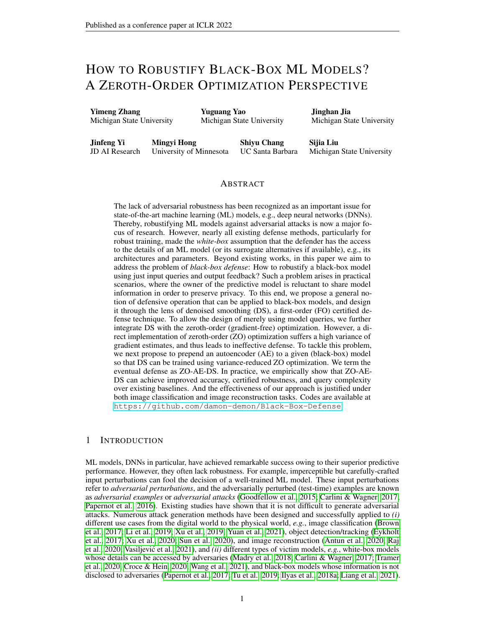# HOW TO ROBUSTIFY BLACK-BOX ML MODELS? A ZEROTH-ORDER OPTIMIZATION PERSPECTIVE

Yimeng Zhang Michigan State University

Yuguang Yao Michigan State University Jinghan Jia Michigan State University

Jinfeng Yi JD AI Research

Mingyi Hong University of Minnesota

Shiyu Chang UC Santa Barbara

Sijia Liu Michigan State University

#### ABSTRACT

The lack of adversarial robustness has been recognized as an important issue for state-of-the-art machine learning (ML) models, e.g., deep neural networks (DNNs). Thereby, robustifying ML models against adversarial attacks is now a major focus of research. However, nearly all existing defense methods, particularly for robust training, made the *white-box* assumption that the defender has the access to the details of an ML model (or its surrogate alternatives if available), e.g., its architectures and parameters. Beyond existing works, in this paper we aim to address the problem of *black-box defense*: How to robustify a black-box model using just input queries and output feedback? Such a problem arises in practical scenarios, where the owner of the predictive model is reluctant to share model information in order to preserve privacy. To this end, we propose a general notion of defensive operation that can be applied to black-box models, and design it through the lens of denoised smoothing (DS), a first-order (FO) certified defense technique. To allow the design of merely using model queries, we further integrate DS with the zeroth-order (gradient-free) optimization. However, a direct implementation of zeroth-order (ZO) optimization suffers a high variance of gradient estimates, and thus leads to ineffective defense. To tackle this problem, we next propose to prepend an autoencoder (AE) to a given (black-box) model so that DS can be trained using variance-reduced ZO optimization. We term the eventual defense as ZO-AE-DS. In practice, we empirically show that ZO-AE-DS can achieve improved accuracy, certified robustness, and query complexity over existing baselines. And the effectiveness of our approach is justified under both image classification and image reconstruction tasks. Codes are available at <https://github.com/damon-demon/Black-Box-Defense>.

#### 1 INTRODUCTION

ML models, DNNs in particular, have achieved remarkable success owing to their superior predictive performance. However, they often lack robustness. For example, imperceptible but carefully-crafted input perturbations can fool the decision of a well-trained ML model. These input perturbations refer to *adversarial perturbations*, and the adversarially perturbed (test-time) examples are known as *adversarial examples* or *adversarial attacks* (Goodfellow et al., 2015; Carlini & Wagner, 2017; Papernot et al., 2016). Existing studies have shown that it is not difficult to generate adversarial attacks. Numerous attack generation methods have been designed and successfully applied to *(i)* different use cases from the digital world to the physical world, *e.g.*, image classification (Brown et al., 2017; Li et al., 2019; Xu et al., 2019; Yuan et al., 2021), object detection/tracking (Eykholt et al., 2017; Xu et al., 2020; Sun et al., 2020), and image reconstruction (Antun et al., 2020; Raj et al., 2020; Vasiljević et al., 2021), and *(ii)* different types of victim models, *e.g.*, white-box models whose details can be accessed by adversaries (Madry et al., 2018; Carlini & Wagner, 2017; Tramer et al., 2020; Croce & Hein, 2020; Wang et al., 2021), and black-box models whose information is not disclosed to adversaries (Papernot et al., 2017; Tu et al., 2019; Ilyas et al., 2018a; Liang et al., 2021).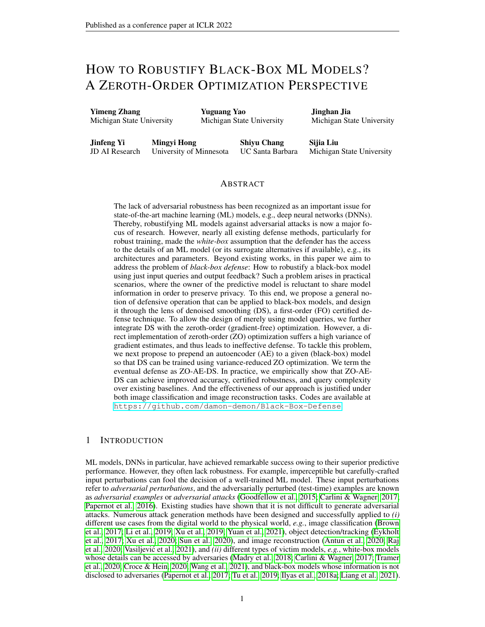Given the prevalence of adversarial attacks, methods to robustify ML models are now a major focus in research. For example, adversarial training (AT) (Madry et al., 2018), which has been poised one of the most effective defense methods (Athalye et al., 2018), employed min-max optimization to minimize the worst-case (maximum) training loss induced by adversarial attacks. Extended from AT, various empirical defense methods were proposed, ranging from supervised learning, semi-supervised learning, to unsupervised learning (Madry et al., 2018; Zhang et al., 2019b; Shafahi et al., 2019; Zhang et al., 2019a; Carmon et al., 2019; Chen et al., 2020; Zhang et al., 2021). In addition to empirical defense, certified defense is another research focus, which aims to train provably robust ML models and provide certificates of robustness (Wong & Kolter, 2017; Raghunathan et al., 2018; Katz et al., 2017; Salman et al., 2019; 2020; 2021). Although exciting progress has been made in adversarial defense, nearly all existing works ask a defender to perform over *white-box* ML models (assuming non-confidential model architectures and parameters). However, the white-box assumption may restrict the defense application in practice. For example, a model owner may refuse to share the model details, since disclosing model information could hamper the owner's privacy, *e.g.*, model inversion attacks lead to training data leakage (Fredrikson et al., 2015). Besides the privacy consideration, the white-box defense built upon the (end-to-end) robust training (*e.g.*, AT) is computationally intensive, and thus is difficult to scale when robustifying multiple models. For example, in the medical domain, there exist massive pre-trained ML models for different diseases using hundreds of neuroimaging datasets (Sisodiya et al., 2020). Thus, robustly retraining all models becomes impractical. Taking the model privacy and the defense efficiency into consideration, we ask:

*Is it possible to design an adversarial defense over black-box models using only model queries?*

Extending adversarial defense to the black-box regime (that we call 'blackbox defense') is highly non-trivial due to the challenge of black-box optimization (*i.e.*, learning over blackbox models). To tackle this problem, the prior work (Salman et al., 2020) leveraged *surrogate models* as



Figure 1: Illustration of defense against adversarial attacks for entirely black-box models.

approximations of the black-box models, over which defense can be conducted following the whitebox setup. Yet, this still requires to have access to the information on the victim model type and its function. In practice, those conditions could be difficult to achieve. For example, if the domain knowledge related to medicine or healthcare is lacking (Qayyum et al., 2020; Finlayson et al., 2019), then it will be difficult to determine a proper surrogate model of a medical ML system. Even if a black-box model estimate can be obtained using the model inversion technique (Kumar & Levine, 2019), a significantly large number of model queries are needed even just for tackling a MNIST-level prediction task (Oh et al., 2019). Different from (Salman et al., 2020), we study an *authentic blackbox scenario*, in which the interaction between defender and model is only based on input-output function queries (see Fig. 1). To our best knowledge, this is the first work to tackle the problem of query-based black-box defense.

#### Contributions. We summarize our contributions below.

 $\neg$  (Formulation-wise) We formulate the problem of black-box defense and investigate it through the lens of zeroth-order (ZO) optimization. Different from existing works, our paper aims to design the restriction-least black-box defense and our formulation is built upon a query-based black-box setting, which avoids the use of surrogate models.

- (Methodology-wise) We propose a novel black-box defense approach, ZO AutoEncoder-based Denoised Smoothing (ZO-AE-DS), which is able to tackle the challenge of ZO optimization in high dimensions and convert a pre-trained non-robust ML model into a certifiably robust model using only function queries.

® (Experiment-wise) We verify the efficacy of our method through an extensive experimental study. In the task of image classification, the proposed ZO-AE-DS significantly outperforms the ZO baseline built upon (Salman et al., 2020). For instance, we can improve the certified robust accuracy of ResNet-110 on CIFAR-10 from 19:16% (using baseline) to 54:87% (using ZO-AE-DS) under adversarial perturbations with  $\gamma$  norm less than 64=255. We also empirically show that our proposal stays effective even in the task of image reconstruction.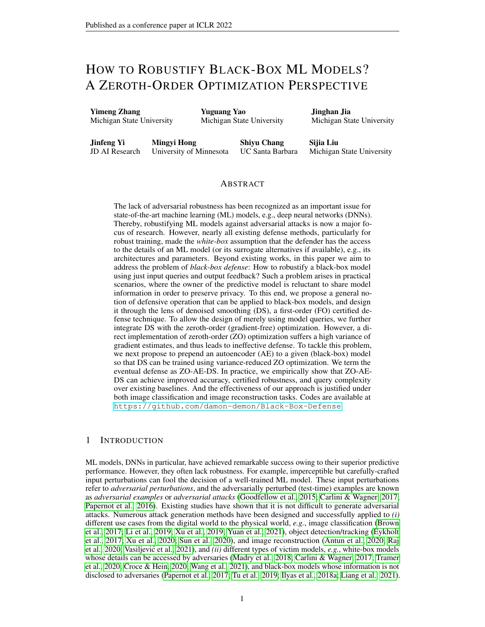# 2 RELATED WORK

Empirical defense. An immense number of defense methods have been proposed, aiming to improve model robustness against adversarial attacks. Examples include detecting adversarial attacks (Guo et al., 2017; Meng & Chen, 2017; Gong et al., 2017; Grosse et al., 2017; Metzen et al., 2017) and training robust ML models (Madry et al., 2018; Zhang et al., 2019b; Shafahi et al., 2019; Wong et al., 2020; Zhang et al., 2019a; Athalye et al., 2018; Cheng et al., 2017; Wong & Kolter, 2017; Salman et al., 2019; Raghunathan et al., 2018; Katz et al., 2017). In this paper, we focus on advancing the algorithm foundation of robust training over black-box models. Robust training can be broadly divided into two categories: empirical defense and certi ed defense. In the former category, the most representative method is AT (adversarial training) that formulates adversarial defense as a two-player game (between attacker and defender) (Madry et al., 2018). Spurred by AT, empirical defense has developed rapidly. For example, in (Zhang et al., 2019b), TRADES was proposed to seek the optimal trade-off between accuracy and robustness. In (Stanforth et al., 2019; Carmon et al., 2019), unlabeled data and self-training were shown effective to improve adversarial defense in both robustness and generalization. In (Shafahi et al., 2019; Wong et al., 2020; Zhang et al., 2019a; Andriushchenko & Flammarion, 2020), to improve the scalability of adversarial defense, computationally-light alternatives of AT were developed. Despite the effectiveness of empirical defense against adversarial attacks (Athalye et al., 2018), it lacks theoretical guarantee (known as `certi cate') for the achieved robustness. Thus, the problem of certi ed defense arises.

Certi ed defense. Certi ed defense seeks to provide a provably guarantee of ML models. One line of research focuses on post-hoc formal veri cation of a pre-trained ML model. The certi ed robustness is then given by a `safe' input perturbation region, within which any perturbed inputs will not fool the given model (Katz et al., 2017; Ehlers, 2017; Bunel et al., 2018; Dutta et al., 2017). Since the exact veri cation is computationally intensive, a series of work (Raghunathan et al., 2018; Dvijotham et al., 2018; Wong & Kolter, 2017; Weng et al., 2018a;b; Wong et al., 2018) proposed `incomplete' veri cation, which utilizes convex relaxation to over-approximate the output space of a predictive model when facing input perturbations. Such a relaxation leads to fast computation in the veri-cation process but only proves a lower bound of the exact robustness guarantee. Besides the post-hoc model veri cation with respect to each input example, another line of research focuses on in-processing certi cation-aware training and prediction. For example, randomized smoothing (RS) transforms an empirical classi er into a provably robust one by convolving the former with an isotropic Gaussian distribution. It was shown in (Cohen et al., 2019) that RS can provide formal guarantees for adversarial robustness. Different types of RS-oriented provable defenses have been developed, such as adversarial smoothing (Salman et al., 2019), denoised smoothing (Salman et al., 2020), smoothed ViT (Salman et al., 2021), and feature smoothing (Addepalli et al., 2021).

Zeroth-order (ZO) optimization for adversarial ML. ZO optimization methods are gradientfree counterparts of rst-order (FO) optimization methods (Liu et al., 2020b). They approximate the FO gradients through function value based gradient estimates. Thus, ZO optimization is quite useful to solve black-box problems when explicit expressions of their gradients are dif cult to compute or infeasible to obtain. In the area of adversarial ML, ZO optimization has become a principled approach to generate adversarial examples from black-box victim ML models (Chen et al., 2017; Ilyas et al., 2018a;b; Tu et al., 2019; Liu et al., 2019; 2020a; Huang & Zhang, 2020; Cai et al., 2020; 2021). Such ZO optimization-based attack generation methods can be as effective as state-of-the-art white-box attacks, despite only having access to the inputs and outputs of the targeted model. For example, the work (Tu et al., 2019) leveraged the white-box decoder to map the generated low-dimension perturbations back to the original input dimension. Inspired by (Tu et al., 2019), we leverage the autoencoder architecture to tackle the high-dimension challenge of ZO optimization in black-box defense. Despite the widespread application of ZO optimization to black-box attack generation, few work studies the problem of black-box defense.

# 3 PROBLEM FORMULATION: BLACK -BOX DEFENSE

In this section, we formulate the problem of black-box defense, robustifying black-box ML models without having any model information such as architectures and parameters.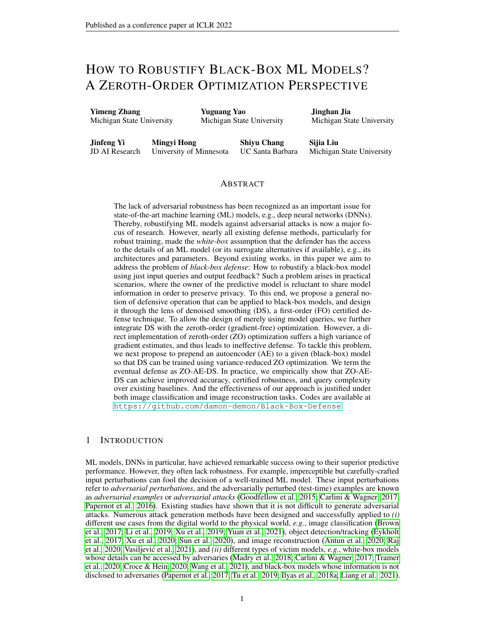Problem statement. Let f  $_{_{\rm bb}}$  (x) denote a pre-de ne<u>b</u>lack-box (bb) predictive modelwhich can map an input example to a prediction. In our workf,  $_{_{\rm bb}}$  can be either an image classi er or an image reconstructor. For simplicity of notation, we will drop the model parameters hen referring to a black-box model. Thtthreat modebf our interest is given by norm-ball constrained adversarial attacks (Goodfellow et al., 2015). To defend against these attacks, existing approaches commonly require the white-box assumption fof (Madry et al., 2018) or have access to white-box surrogate models off (Salman et al., 2020). Different from the prior works, we study the problem ax - box defensewhen the owner of is not able to share the model details. Accordingly, the only mode of interaction with the black-box system is via submitting inputs and receiving the corresponding predicted outputs. The formal statement of black-box defense is given below:

(Black-box defense)Given a black-box base model can we develop a defensive operation R using just input-outpuffunction queriesso as to produce the robusti ed mode (f) against adversarial attacks?

Defensive operation. We next provide a concrete formulation of the defensive operatiom the literature, two principled defensive operations were used: (end-to-end AT (Madry et al., 2018; Zhang et al., 2019b; Cohen et al., 2019), arid ( prepending a defensive component to a base model (Meng & Chen, 2017; Salman et al., 2020; Aldahdooh et al., 2021). The former fas achieved the state-of-the-art robustness performance (Athalye et al., 2018; Croce & Hein, 2020) but is not applicable to black-box defense. By contrast, the  $\text{IaReg}$  (is more compatible with black-box models. For example enonised smoothin  $(\textcircled{B})$ , a recently-develope  $\textcircled{B}_2$ -type approach (Salman et al., 2020), gives a certi ed defense by prepending a custom-trained denoiser to the targeted model. In this work, we choose DS as the backbone of our defensive operation (Fig. 2).

In DS, a denoiser is integrated with a base model f so that the augmented system becomes resilient to Gaussian noise and thus plays a role similar to the RS-based certi ed defense (Cohen et al., 2019). That is, DS yields

$$
R(f(x)) := f(D(x)); \t(1)
$$

Figure 2:DS-based black-box defense. whereD denotes the learnable denoiser (with parameters ) prepended to the (black-box) predictor OnceD is learned, then the DS-based smooth classi erarg max, P  $_{\rm 2N$  (0;  $^{-2}$ 1) [R(f (x +  $^{-}$  )) =  $\,$  c], can achieve certi ed robustness, where c is a class label, 2 N (0; <sup>2</sup>l) denotes the standard Gaussian noise with varian cend arg max $_{\rm c}$  P  $_{\rm 2N$  (0;  $_{\rm ^2I)}$  [f (x + ) = c] signi es a smooth version off.

Based on (1), the goal of black-box defense becomes to nd the optimal defibisser as to achieve satisfactory accuracy as well as adversarial robustness. In the FO learning paradigm, Salman et al. (2020) proposed a stability regularized denoising loss to Dain

minimize E <sub>2N</sub> (0; 21);x2U 
$$
\sum_{i=-\text{Denoise (1)}}^{10} \frac{x k_2^2 + E_{i}x}{(2 + 1)!} = \sum_{i=\text{Denoise (2)}}^{10} \frac{x k_3^2 + E_{i}x}{(2)!} = \sum_{i=\text{Stab (1)}}^{10} \frac{x}{(2)!}.
$$
 (2)

whereU denotes the training dataset, the rst objective tè $_{\text{B*noise}}($  ) corresponds to the mean squared error (MSE) of image denoising, the second objective  $\gamma$  ( $\gamma$ ) measures the prediction stability through the cross-entropy (CE) between the outputs of the denoised input and the original input, and  $>$  0 is a regularization parameter that strikes a balance between and  $\epsilon_{\text{stab}}$ .

We remark that problem (2) can be solved using the FO gradient descent method if the base model f is fully disclosed to the defender. However, the black-box nature whakes the gradients of the stability loss  $_{Stab}$  () infeasible to obtain. Thus, we will developo addient-freeDS-oriented defense.

# 4 METHOD: A SCALABLE ZEROTH-ORDER OPTIMIZATION SOLUTION

In this section, we begin by presenting a brief background on ZO optimization, and elaborate on the challenge of black-box defense in high dimensions. Next, we propose a novel ZO optimization-based DS method that can not only improve model query complexity but also lead to certi ed robustness.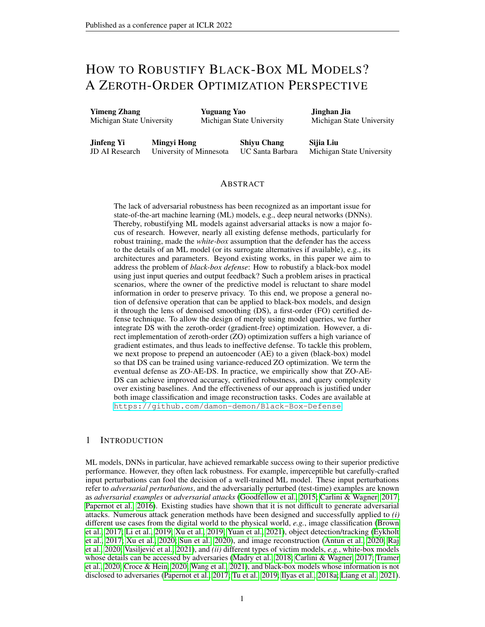ZO optimization. In ZO optimization, the FO gradient of a black-box functiq (with a d-dimension variablew) is approximated by the difference of two function values along a set of random direction vectors. This leads to the randomized gradient estimate (RGE) (Liu et al., 2020b):

$$
f^{\text{A}}(w) = \frac{1}{q} \sum_{i=1}^{q} d(\text{w} + u_i) \text{v}(w)) u_i ; \qquad (3)
$$

wheref u<sub>i  $g_{i=1}^q$  areq random vectors drawn independently and uniformly from the sphere of a unit</sub> ball, and  $>0$  is a given small step size, known as the smoothing parameter. The rationale behind (3) is that it provides anunbiasedestimate of the FO gradient of the Gaussian smoothing version of ` (Gao et al., 2018), with variance in the order $\mathbf{\mathbb{Q}}$ ( $\frac{1}{9}$ ) (Liu et al., 2020b). Thus, a large-scale problem (with larged) yields a large variance of RGE (3). To reduce the variance, a large number of querying directions  $(e, q)$  is then needed, with the worst-case query complexity in the order of  $O(d)$ . If  $q = d$ , then the least estimation variance can be achieved by the coordinatewise gradient estimate (CGE) (Lian et al., 2016; Liu et al., 2018):

$$
f^{\prime} w^{\prime}(w) = \sum_{i=1}^{X^{d}} \frac{(w + e_{i})^{\prime}(w)}{e_{i}} e_{i} ; \qquad (4)
$$

wheree<sub>i</sub> 2 R<sup>d</sup> denotes th<del>e</del>th elementary basis vector, wi**t**hat theith coordinate an**6**s elsewhere. For any off-the-shelf FO optimizere, g, stochastic gradient descent (SGD), if we replace the FO gradient estimate with the ZO gradient estimate, then we obtain the ZO counterpart of a FO solver, e.g., ZO-SGD (Ghadimi & Lan, 2013).

Warm-up: A direct application of ZO optimization. A straightforward method to achieve the DS-based black-box defense is to solve problem (2) using ZO optimization directly. However, it will give rise to the dif culty ofZO optimization in high dimensionSpeci cally, DS requires to calculate the gradient of the defensive operation (1). With the aid of ZO gradient estimation, we obtain

r R(f (x)) = 
$$
\frac{dD(x)}{d} \frac{df(z)}{dz} i_{z=D(x)}
$$
  $\frac{dD(x)}{d} f'_{z}f(z) i_{z=D(x)}$ ; (5)

where with an abuse of notation, bethenote the dimension of (yielding D (x) 2 R<sup>d</sup> andz 2 R<sup>d</sup>) andd denote the dimension of,  $\frac{dD(x)}{dx}$  $\frac{d}{d}$  2 R<sup>d d</sup> is the Jacobian matrix of the vector-valued function D (x), and  $\frac{A}{2}$  f (z) denotes the ZO gradient estimate of following (3) or (4). Since the dimension of an input is typically large for image classi cationg, d = 3072 for a CIFAR-10 image), it imposeswo challenges(a) The variance

Method Certi ed robustness (%) Standard accuracy (%)<br>71.80  $\frac{(2 \text{ radius: } = 0.5)}{30.22}$ the variance-least CGE (4) becomes impracticable dues  $\frac{20-DS}{(40)D}$ 5.06  $\# 25.16$  44.81  $\# 26.99$ of RGE (3) will be ultra-large if the query complexity stays low, i.e., a small query number is used; And (b)  $\bar{z}$ 

Table 1:Performance comparison between FO-DS (Salman et al., 2020) and its direct ZO implementation ZO-DS on (CIFAR-10, ResNet-110). to the need of ultra-high querying  $\cosh (q - d)$ . Indeed, Table 1 shows that the direct application of (5) into the existing FO-DS solver (Salman et al., 202 $\mathbb{Q}_r$ which we call ZO-DS, yields ove 25% degradation in

both standard accuracy and certi ed robustness evaluated at input perturbations wottm less than128=255, where pixels of an input image are normalized (dp1). We refer readers to Sec. 5 for more details.

Figure 3:Model architecture for ZO-AE-DS. ZO autoencoder-based DS (ZO-AE-DS): A scalable solution to black-box defense. The dif culty of ZO optimization in high dimensions prevents us from developing an effective DS-oriented provable defense for black-box ML models. To tackle such problem, we introduce an Autoencoder (AE) to connect the front-end denoiserD with the back-end black-box predictive modef so that ZO optimization can be conducted in a (low-dimension) feature embedding space. To be concrete, let  $\lambda_{\text{max}}$  denote AE consisting of the encoder (Enc) and the  $\epsilon_{\text{enc}}$  denote AE consisting of the encoder (Enc)<sub>nc</sub> and the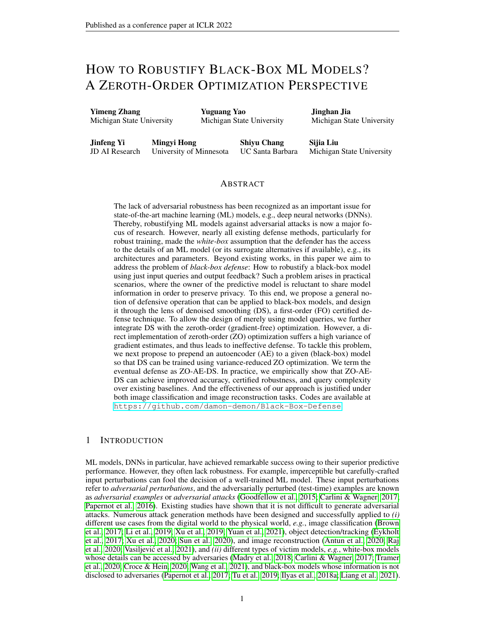decoder (Dec)  $\Box$  , where denotes the function composition operation. Plugging between the denoiseD and the black-box predictor, we then extend the defensive operation (1) to the following (see Fig. 3 for illustration):

$$
R_{\text{new}}(f(x)) := \int \frac{1}{\log(2x)} \left\{ \frac{1}{2} \sum_{\text{new black box}} (z) \right\}; \qquad z = \lim_{\text{new white box}} \frac{1}{2} \left\{ \frac{1}{2} \sum_{\text{new white box}} (x) \right\}; \tag{6}
$$

wherez 2 R<sup>dz</sup> denotes the low-dimension feature embedding with d. In (6), we integrate the decoder  $\int_{\mathsf{Dec}}$  with the black-box predictof to construct anewblack-box modef  $\mathsf{C}(z)$  := f ( $_{Dec}$  (z)), which enables us to derive a ZO gradient estimat **conducted dimension** 

r R<sub>new</sub>(f (x)) 
$$
\frac{d_{\text{Enc}}(D(x))}{d} f^2 f^0(z) j_{z} =_{\text{Enc}} (D(x))}
$$
 : (7)

Assisted by AE, RGE of<sup>^</sup> <sub>z</sub>f <sup>0</sup> has a reduced variance fro  $\mathbf{O}(\frac{d}{q})$  to  $O(\frac{d_z}{q})$ . Meanwhile, the least-variance CGE (4) also becomes feasible by setting the query numberdes

Note that the eventual ZO estimate (7) is a function of the d<sub>z</sub> Jacobian matrix  $\left[ \begin{array}{cc} E_{\text{nc}}(D & (x) \end{array} \right]$ . For ease of storing and computing the Jacobian matrix, we derive the following computationally-light alternative of (7) (see derivation in Appendix A):

r 
$$
^{\circ}
$$
stab( ) r [a<sup>></sup> <sub>Enc</sub> (D (x + ))]; a =  $f^2$ <sub>z</sub> $^{\circ}$  CE (f<sup>0</sup>(z); f (x)) j<sub>z= Enc</sub> (D (x + )); (8)

where recall that  ${}^0\!(z)$  = f (  ${}^-_{\text{Dec}}(z)$ ), and  ${}^{\wedge}$  denotes the ZO gradient estimate given by (3) or (4). The computation advantage of (8) is that the derivative operationan be applied to a scalar-valued inner product built upon a pre-calculated ZO gradient estimaate

Training ZO-AE-DS. Recall from Fig. 3 that the proposed defensive system involves three components: denoise $D$ , AE  $_{Dec}$  $_{Enc}$ , and pre-de ned black-box predictor Thus, the parameters to be optimized include ,  $\degree$   $_{\rm Dec}$  and  $\degree$   $_{\rm Enc}$  . To train ZO-AE-DS, we adopt a two-stage training protocol.¬ White-box pre-training on AEAt the rst stage, we pre-train the AE model by calling a standard FO optimize $e(g, Adam)$  to minimize the reconstruction loss k  $\int_{Dec} (x)) x k_2^2$ . The resulting AE will be used as the initialization of the second-stage training. We remark that the denoising modelD can also be pre-trained. However, such a pre-training could hamper optimization, i.e., making the second-stage training over asily trapped at a poor local optima. End-to-end training: At the second stage, we keep the pre-trained decoder intact and merge it into the black-box system as shown in Fig. 3. We then optimizend  $_{Enc}$  by minimizing the DS-based training loss (2), where the denoiser and the defensive operation are replaced by  $F_{\text{free}}$  D andR<sub>new</sub> (6), respectively. In (2), minimization over the stability loss<sub>the</sub> () calls the ZO estimate of r  $\gamma_{\text{Stab}}$  ( ), given by (7). In Appendix C.2, different training schemes are discussed.

# 5 EXPERIMENTS

In this section, we demonstrate the effectiveness of our proposal through extensive experiments. We will show that the proposed ZO-AE-DS outperforms a series of baselines when robustifying black-box neural networks for secure image classi cation and image reconstruction.

#### 5.1 EXPERIMENT SETUP

Datasets and model architectures. In the task of image classi cation, we focus on CIFAR-10 and STL-10 datasets. In Appendix C.3, we demonstrate the effectiveness of ZO-AE-DS on the high-dimension ImageNet images. In the task of image reconstruction, we consider the MNIST dataset. To build ZO-AE-DS and its variants and baselines, we specify the prepended denoiser D as DnCNN (Zhang et al., 2017). We then implement task-speci c AE for different datasets. Super cially, the dimension of encoded feature embedding, nandeliy, (6), is set as 192, 576 and 192 for CIFAR-10, STL-10 and MNIST, respectively. The architectures of AE are con-gured following (Mao et al., 2016), and ablation study on the choice of AE is shown in Appendix C.1. To specify the black-box image classi cation model, we choose ResNet-110 for CIFAR-10 following (Salman et al., 2020), and ResNet-18 for STL-10. It is worth noting that STL-10 contains 500 labeled 96 96training images, and the pre-trained ResNet-18 achieves 76.6% test accuracy that matches to state-of-the-art performance. For image reconstruction, we adopt a reconstruction network consisting of convolution, deconvolution and ReLU layers, following (Raj et al., 2020).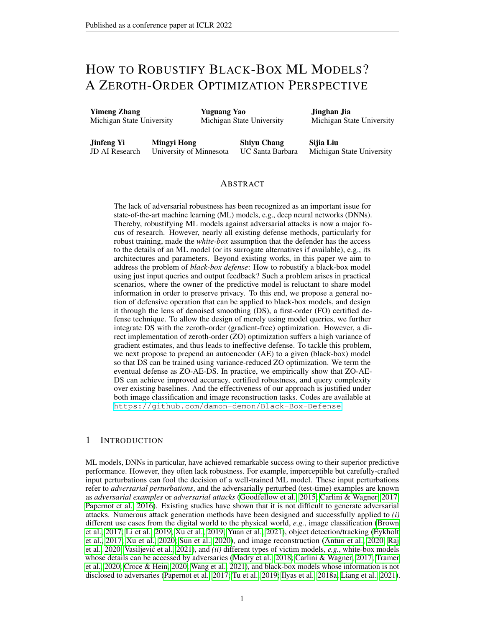Baselines. We will consider twovariantsof our proposed ZO-AE-DS) ZO-AE-DS using RGE  $(3)$ , ii) ZO-AE-DS using CGE4). In addition, we will compare ZO-AE-DS with FO-AE-DS i.e., the rst-order implementation of ZO-AE-DSi) FO-DS, which developed in (Salman et al., 2020),iii) RS-based certi ed training, proposed in (Cohen et al., 2019), in n dO-DS i.e., the ZO implementation of FO-DS using RGE. Note that CGE is not applicable to ZO-DS due to the obstacle of high dimensions. To our best knowledge, ZO-DS is the only query-based black-box defense baseline that can be directly compared with ZO-AE-DS.

Training setup. We build the training pipeline of the proposed ZO-AE-DS following `Training ZO-AE-DS' in Sec. 4. To optimize the denoising model, we will cover two training schemes: training from scratch, and pre-training & ne-tuning. In the scenario of training from scratch, we use Adam optimizer with learning rat@  $3$  to train the model for 200 epochs and then use SGD optimizer with learning rate0  $3$  drop by a factor of 0 at every 200 epoch, where the total number of epochs is 600. As will be evident later, training from scratch welleads to better performance of ZO-AE-DS. In the scenario of pre-training & ne-tuning, we use Adam optimizer to pre-train the denoiseiD with the MSE loss`<sub>Denoise</sub> in (2) for 90 epochs and ne-tune the denoiser with for 200 epochs with learning rate  $0^{-5}$  drop by a factor of 0 every 40 epochs. When implementing the baseline FO-DS, we use the best training setup provided by (Salman et al., 2020). When implementing ZO-DS, we reduce the initial learning rate to  $4$  for training from scratch and 0  $6$  for pre-training & ne-tuning to stabilize the convergence of ZO optimization. Furthermore, we set the smoothing parameter  $= 0.005$  for RGE and CGE. And to achieve a smooth predictor, we set the Gaussian smoothing noise as 2 N (0;  $2$ I) with  $2 = 0.25$ . With the help of matrix operations and the parallel computing power of the GPU, we optimize the training time to an acceptable range. The averaged one-epoch training time on a single Nvidia RTX A6000 GPU is abdut in and 29min for FO-DS and our proposed ZO method,  $ZO$ -AE-DS ( $CGE$ , 192), on the CIFAR-10 dataset.

Evaluation metrics. In the task of robust image classi cation, the performance will be evaluated at standard tesaccuracy (SA) anderti ed accuracy (CA). Here CA is a provable robust guarantee of the Gaussian smoothing version of a predictive model. Let us take ZO-AE-DS as an example, the resulting smooth image classi er is given  $b_{\text{Kmooth}}(x) := \arg \max_{c} P_{2N(0; 21)}[R_{new}(f(x + 2)) = c],$ whereR<sub>new</sub> is given by (6). Further, **a**erti ed radius of `2-norm perturbation ball with respect to an input example can be calculated following the RS approach provided in (Cohen et al., 2019). As a result, CA at a give $\grave{\text{p}}$ -radiusr is the percentage of the correctly classi ed data points whose certi ed radii are larger than. Note that ifr  $= 0$ , then CA reduces to SA.

|                       | FO    |       |          | $ZO-DS$           |                    |                    | ZO-AE-DS (Ours)   |                    |                    |                    |
|-----------------------|-------|-------|----------|-------------------|--------------------|--------------------|-------------------|--------------------|--------------------|--------------------|
| <sub>2</sub> -radiusr | RS    | FO-DS | FO-AE-DS | $q = 20$<br>(RGE) | $q = 100$<br>(RGE) | $a = 192$<br>(RGE) | $q = 20$<br>(RGE) | $a = 100$<br>(RGE) | $q = 192$<br>'RGE) | $q = 192$<br>(CGE) |
| 0.00(SA)              | 76:44 | 71.80 | 75:97    | 19.50             | 41.38              | 44.81              | 42.72             | 58.61              | 63.13              | 72:23              |
| 0.25                  | 60:64 | 51.74 | 59:12    | 3.89              | 18.05              | 19.16              | 29.57             | 40.96              | 45.69              | 54:87              |
| 0.50                  | 41:19 | 30.22 | 38:50    | 0.60              | 4.78               | 5.06               | 17.85             | 24.28              | 27.84              | 35:50              |
| 0.75                  | 21:11 | 11.87 | 18:18    | 0.03              | 0.32               | 0.30               | 8.52              | 9.45               | 10.89              | 16:37              |

Table 2: SA (standard accuracy, %) and CA (certi ed accuracy, %) versus different valùes adiusr. Note that SA corresponds to the case of  $0$ . In both FO and ZO blocks, the best accuracies for eadadius are highlighted inbold.

## 5.2 EXPERIMENT RESULTS ON IMAGE CLASSIFICATION

Performance on CIFAR-10. In Table 2, we present certi ed accuracies of ZO-AE-DS and its variants/baselines versus different radii in the setup of (CIFAR-10, ResNet-110). Towards a comprehensive comparison, different RGE-based variants of ZO-AE-DS and ZO-DS are demonstrated using the query number 2 f 20; 100; 192g. First, the comparison between ZO-AE-DS and ZO-DS shows that our proposal signi cantly outperforms ZO-DS ranging from the low query number o to the high query number = 192 when RGE is applied. Second, we observe that the use of CGE yields the best CA and SA (corresponding te 0). The application of CGE is bene ted from AE, which reduces the dimension from  $= 32$  32 3 to  $d_z = 192$ . In particular, CGE-based ZO-AE-DS improves the case studied in Table 1 from  $6\%$  to 35:5% at the  $\gamma$ -radiusr = 0:5. Third, although FO-AE-DS yields CA improvement over FO-DS in the white-box context, the improvement achieved by ZO-AE-DS (vs. ZO-DS) for black-box defense is much more signi cant. This implies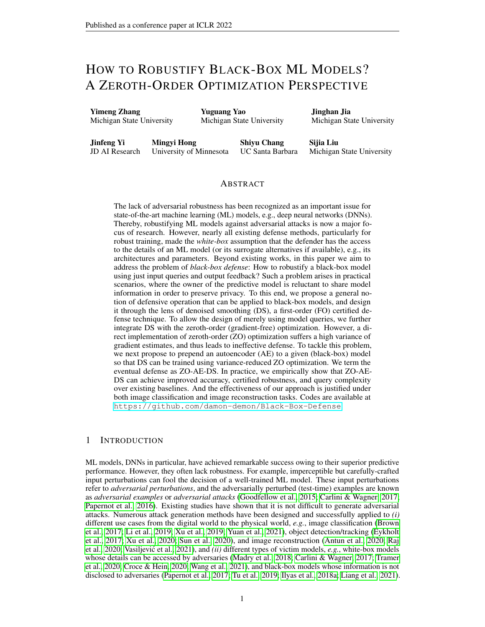that the performance of black-box defense relies on a proper solution (namely, ZO-AE-DS) to tackle the challenge of ZO optimization in high dimensions. Fourth, RS outperforms the ZO methods. This is not surprising since RS is a known white-box certi ably robust training approach. In Appendix B, we demonstrate the consistent effectiveness of ZO-AE-DS under different denoisier and classi ers.

Performance on STL-10. In Table 3, we evaluate the performance of ZO-AE-DS for STL-10 image classi cation. For comparison, we also represent the performance of FO-DS, FO-AE-DS, and ZO-DS. Similar to Table 2, the improvement brought by our proposal over ZO-DS is evident, with at least10% SA/CA improvement across different-radii.

When comparing ZO-AE-DS with FO-DS, we observe that ours introduces a7% degradation in SA (at  $r = 0$ ). This is different from CIFAR-10 classi cation. There might be two reasons for

|           |       |                  | $STL-10$               |          |
|-----------|-------|------------------|------------------------|----------|
| ∍-radiusr |       | FO-DS FO-AE-DS   | $ZO-DS$                | ZO-AE-DS |
|           |       | $(RGE, q = 576)$ | $(CGE, q = d_7 = 576)$ |          |
| 0.00(SA)  | 53.36 | 54.26            | 38.60                  | 45.67    |
| 0.25      | 35.83 | 43.99            | 21.50                  | 35.78    |
| 0.50      | 21.61 | 34.85            | 9.58                   | 26.70    |
| 0.75      | 9.86  | 25.56            | 3.29                   | 17.91    |

the degradation of SA in STL-10 Table 3: CA (certi ed accuracy, %) vs. different radii for image First, the size of a  $STL-10$  image classi cation on  $STL-10$ . is 9 larger than a CIFAR-10 im-

age. Thus, the over-reduced feature dimension could hamper SA. In this exampledwe \$76, which is only3  $\,$  larger thard $_{\rm z}$  = 192 used for CIFAR-10 classi cation. Second, the variance of ZO gradient estimates has a larger effect on the performance of STL-10 than that of CIFAR-10, since the former only contains500labeled images, leading to a challenging training task. Despite the degradation of SA, ZO-AE-DS outperforms FO-DS in CA, especially when facing a large dius. This is consistent with Table 2. The rationale is that AE can be regarded as an extra smoothing operation for the image classi er, and thus improves certi ed robustness over FO-DS, even if the latter is designed in a white-box setup. If we compare ZO-AE-DS with FO-AE-DS, then the FO approach leads to the best performance due to the high-accuracy of gradient estimates.

Advantage of AE on ZO optimization. Extended from Table 2, Fig. 4 presents the complete CA curve of non-AE-based and AE-based methods vs. the value of  $2$ -radius in the example of (CIFAR-10, ResNet-110). As we can see, ZO-AE-DS using RGE with the smallest query number  $= 20$  has outperformed ZO-DS using RGE with the largest query numberq = 192. This shows the vital role of AE on ZO optimization. Meanwhile, consistent with Table 2 and Table 3, the best model achieved by ZO-AE-DS using CGE could be even better than

the FO baseline FO-DS since AE could play a sim-<br>ils sack an the consetting assetting Furtherman Figure 4:Comparison between non-AE-based and ilar role on the smoothing operation. Furthermore, based methods in CA vs. different-radii. as the query number increases, the improvement assess meased in Section and by non-AE-based of ZO-AE-DS grows, towards the performance of hethods; Solid lines: Models obtained by AE-based methods. FO-AE-DS.

| Effect of training scheme on ZO-AE-DS. In               |      | $ZO-AE-DS (CGE.a = 192)$ |                                                |  |
|---------------------------------------------------------|------|--------------------------|------------------------------------------------|--|
| Table 4, we present the impact of training $2$ -radiusr |      |                          | Training from scratch Pre-training + ne-tuning |  |
| scheme (over the denoiser) on the CA perfor-            | 0.00 | 72.23                    | 59.74                                          |  |
|                                                         | 0.25 | 54.87                    | 42.61                                          |  |
| mance of ZO-AE-DS versus different-radii.               | 0.50 | 35.50                    | 26.26                                          |  |
| Two training schemes, training from scratch and         | 0.75 | 16.37                    | 11.13                                          |  |

Table 4:ZO-AE-DS using different denoiser training schemes under (CIFAR-10, ResNet-110). pre-training + ne-tuning, are considered. As we can see, training from scratch for leads to the better performance of ZO-AE-DS than pre-

training + ne-tuning. This is because the application of pre-training tocould make optimization easily get trapped at a local optima. We list other ablation studies in Appendix C.

#### 5.3 EXPERIMENT RESULTS ON IMAGE RECONSTRUCTION.

In what follows, we apply the proposed ZO-AE-DS to robustifying a black-box image reconstruction network. The goal of image reconstruction is to recover the original image from a noisy measurement.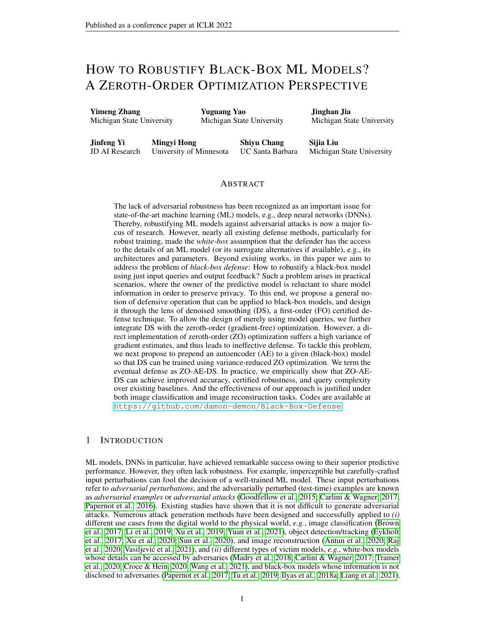Following (Antun et al., 2020; Raj et al., 2020), we generate the noisy measurement following a linear observation mode  $A = Ax$ , whereA is a sub-sampling matrix e(g, Gaussian sampling), andx is an original image. A pre-trained image reconstruction network (Raj et al., 2020) then takesA > y as the input to recover. To evaluate the reconstruction performance, we adopt two metrics (Antun et al., 2020), the root mean squared error (RMSE) and structural similarity (SSIM). SSIM is a supplementary metric to RMSE, since it gives an accuracy indicator when evaluating the similarity between the true image and its estimate at ne-level regions. The vulnerability of image reconstruction networks to adversarial attad kg, PGD attacks (Madry et al., 2018), has been shown in (Antun et al., 2020; Raj et al., 2020; Wolf, 2019).

When the image reconstructor is given as a black-box model, spurred by above, Table 5 presents the performance of image reconstruction using various training methods against adversarial attacks with different perturbation strengths. As we can see, compared to the normally trained image reconstructor (i.e., `Standard' in Table 5), all robusti cation methods lead to degraded standard image reconstruction performance in the non-adversarial context ( $k_2 = 0$ ). But the worst performance is provided by ZO-DS. When the perturbation strength increases, the model achieved by standard training becomes over-sensitive to adversarial perturbations, yielding the highest RMSE and the lowest SSIM. Furthermore, we observe that the proposed black-box defense ZO-AE-DS yields very competitive and even better performance with respect to FO defenses. In Fig. 5, we provide visualizations of the reconstructed images using different approaches at the presence of reconstruction-evasion PGD attacks. For example, the comparison between Fig. 5-(f) and (b)/(d) clearly shows the robustness gained by ZO-AE-DS.

| Image reconstruction on MNIST |                |             |                |       |                |       |                     |       |                       |       |
|-------------------------------|----------------|-------------|----------------|-------|----------------|-------|---------------------|-------|-----------------------|-------|
| Method                        | $k \, k_2 = 0$ |             | $k \, k_2 = 1$ |       | $k \; k_2 = 2$ |       | $k \; k_2 = 3$      |       | $k \; k_2 = 4$        |       |
|                               | RMSE           | <b>SSIM</b> | RMSE           |       |                |       | SSIM RMSE SSIM RMSE |       | <b>SSIM RMSE SSIM</b> |       |
| Standard                      | 0.112          | 0.888       | 0.346          | 0.417 | 0.493          | 0.157 | 0.561               | 0.057 | 0.596                 | 0.014 |
| FO-DS                         | 0.143          | 0.781       | 0.168          | 0.703 | 0.221          | 0.544 | 0.278               | 0.417 | 0.331                 | 0.337 |
| ZO-DS                         | 0.197          | 0.521       | 0.217          | 0.474 | 0.262          | 0.373 | 0.313               | 0.284 | 00.356                | 0.225 |
| FO-AE-DS                      | 0.139          | 0.792       | 0.162          | 0.717 | 0.215          | 0.554 | 0.274               | 0.421 | 0.329                 | 0.341 |
| ZO-AE-DS                      | 0.141          | 0.79        | 0.164          | 0.718 | 0.217          | 0.551 | 0.277               | 0.42  | 0.33                  | 0.339 |

Table 5: Performance of image reconstruction using different methods at various attack scenarios. Here `standard' refers to the original image reconstructor without making any robusti cation. Four robusti cation methods are presented including FO-DS, ZO-DS (RGE, 192), FO-AE-DS, and ZO-AE-DS (CGEq = 192). The performance metrics RMSE and SSIM are measured by adversarial example), generated by 0-step  $\mathbf{k}_2$  PGD attacks under different values of perturbation norm  $\mathbf{k}_2$ .

(a) Ground truth (b) Standard (c) FO-DS

(d) ZO-DS (e) FO-AE-DS (f) ZO-AE-DS

Figure 5: Visualization for Image Reconstruction under PGD attack (Step 40, = 1:0). Original: base reconstruction network. ZO-DS: RGE withq = 192. ZO-AE-DS: CGE withq = 192

## 6 CONCLUSION

In this paper, we study the problem of black-box defense, aiming to secure black-box models against adversarial attacks using only input-output model queries. The proposed black-box learning paradigm is new to adversarial defense, but is also challenging to tackle because of the black-box optimization nature. To solve this problem, we integrate denoised smoothing (DS) with ZO (zerothorder) optimization to build a feasible black-box defense framework. However, we nd that the direct application of ZO optimization makes the defense ineffective and dif cult to scale. We then propose ZO-AE-DS, which leverages autoencoder (AE) to bridge the gap between FO and ZO optimization. We show that ZO-AE-DS reduces the variance of ZO gradient estimates and improves the defense and optimization performance in a signi cant manner. Lastly, we evaluate the superiority of our proposal to a series of baselines in both image classi cation and image reconstruction tasks.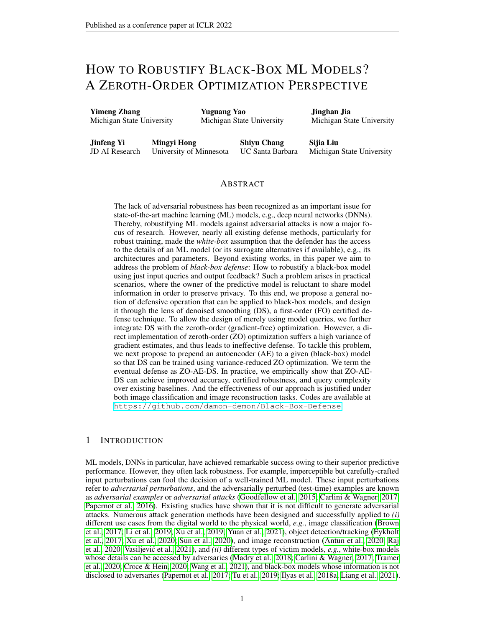## ACKNOWLEDGMENT

Yimeng Zhang, Yuguang Yao, Jinghan Jia, and Sijia Liu are supported by the DARPA RED program.

#### **REFERENCES**

- Sravanti Addepalli, Samyak Jain, Gaurang Sriramanan, and R Venkatesh Babu. Boosting adversarial robustness using feature level stochastic smoothing. Plroceedings of the IEEE/CVF Conference on Computer Vision and Pattern Recognitionpp. 93-102, 2021.
- Ahmed Aldahdooh, Wassim Hamidouche, Sid Ahmed Fezza, and Olivier Deforges. Adversarial example detection for dnn models: A reviewarXiv preprint arXiv:2105.0020,32021.
- Maksym Andriushchenko and Nicolas Flammarion. Understanding and improving fast adversarial training. arXiv preprint arXiv: 2007.0261, 72020.
- Vegard Antun, Francesco Renna, Clarice Poon, Ben Adcock, and Anders C Hansen. On instabilities of deep learning in image reconstruction and the potential costs oPanceedings of the National Academy of Sciences, 17(48): 30088-30095, 2020.
- Anish Athalye, Nicholas Carlini, and David Wagner. Obfuscated gradients give a false sense of security: Circumventing defenses to adversarial examplexiv preprint arXiv:1802.0042,0018.
- Tom B Brown, Dandelion Mané, Aurko Roy, Martín Abadi, and Justin Gilmer. Adversarial p**at**itiv preprint arXiv:1712.096652017.
- Rudy R Bunel, Ilker Turkaslan, Philip Torr, Pushmeet Kohli, and Pawan K Mudigonda. A uni ed view of piecewise linear neural network veri cation. Advances in Neural Information Processing Systemps 4790–4799, 2018.
- HanQin Cai, Daniel Mckenzie, Wotao Yin, and Zhenliang Zhang. Zeroth-order regularized optimization (zoro): Approximately sparse gradients and adaptive sampring. PT, 2020.
- HanQin Cai, Yuchen Lou, Daniel McKenzie, and Wotao Yin. A zeroth-order block coordinate descent algorithm for huge-scale black-box optimization. International Conference on Machine Learning p. 1193-1203. PMLR, 2021.
- Nicholas Carlini and David Wagner. Towards evaluating the robustness of neural netwo **REE** Symposium on S&P, 2017.
- Yair Carmon, Aditi Raghunathan, Ludwig Schmidt, Percy Liang, and John C Duchi. Unlabeled data improves adversarial robustnesarXiv preprint arXiv:1905.1373, 62019.
- Pin-Yu Chen, Huan Zhang, Yash Sharma, Jinfeng Yi, and Cho-Jui Hsieh. Zoo: Zeroth order optimization based black-box attacks to deep neural networks without training substitute modelsodeedings of the 10th ACM Workshop on Arti cial Intelligence and Securityp. 15–26. ACM, 2017.
- T. Chen, S. Liu, S. Chang, Y. Cheng, L. Amini, and Z. Wang. Adversarial robustness: From self-supervised pretraining to ne-tuning. InCVPR 2020.
- Chih-Hong Cheng, Georg Nührenberg, and Harald Ruess. Maximum resilience of arti-cial neural networks. In International Symposium on Automated Technology for Veri cation and Anabysis 251–268. Springer, 2017.
- Jeremy M Cohen, Elan Rosenfeld, and J Zico Kolter. Certi ed adversarial robustness via randomized smoothing. arXiv preprint arXiv:1902.0291,82019.
- Francesco Croce and Matthias Hein. Reliable evaluation of adversarial robustness with an ensemble of diverse parameter-free attacks. International Conference on Machine Learning p. 2206–2216. PMLR, 2020.
- Souradeep Dutta, Susmit Jha, Sriram Sanakaranarayanan, and Ashish Tiwari. Output range analysis for deep neural networksarXiv preprint arXiv:1709.0913,02017.
- Krishnamurthy Dvijotham, Robert Stanforth, Sven Gowal, Timothy Mann, and Pushmeet Kohli. A dual approach to scalable veri cation of deep networkbAI, 2018.
- Ruediger Ehlers. Formal veri cation of piece-wise linear feed-forward neural networkbate mational Symposium on Automated Technology for Veri cation and Analppis 269–286. Springer, 2017.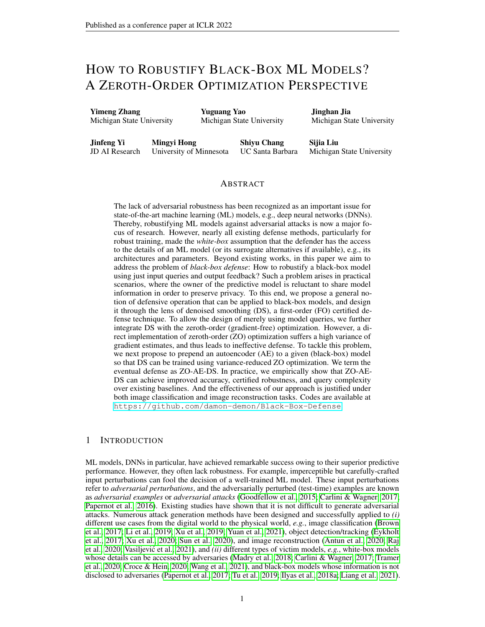- Kevin Eykholt, Ivan Evtimov, Earlence Fernandes, Bo Li, Amir Rahmati, Chaowei Xiao, Atul Prakash, Tadayoshi Kohno, and Dawn Song. Robust physical-world attacks on deep learning mard alerprint arXiv:1707.089452017.
- Samuel G Finlayson, John D Bowers, Joichi Ito, Jonathan L Zittrain, Andrew L Beam, and Isaac S Kohane. Adversarial attacks on medical machine learningience 363(6433): 1287-1289, 2019.
- Matt Fredrikson, Somesh Jha, and Thomas Ristenpart. Model inversion attacks that exploit con-dence information and basic countermeasures. Piroceedings of the 22nd ACM SIGSAC Conference on Computer and Communications Securitpp. 1322-1333, 2015.
- Xiang Gao, Bo Jiang, and Shuzhong Zhang. On the information-adaptive variants of the admm: an iteration complexity perspective Journal of Scienti c Computing76(1):327-363, 2018.
- S. Ghadimi and G. Lan. Stochastic rst-and zeroth-order methods for nonconvex stochastic prograat AMing. Journal on Optimization 23(4): 2341–2368, 2013.
- Zhitao Gong, Wenlu Wang, and Wei-Shinn Ku. Adversarial and clean data are not tan Nisk preprint arXiv:1704.049602017.
- Ian Goodfellow, Jonathon Shlens, and Christian Szegedy. Explaining and harnessing adversarial examples. ICLR, 2015.
- Kathrin Grosse, Praveen Manoharan, Nicolas Papernot, Michael Backes, and Patrick McDaniel. On the  $(s_{\text{statistical}})$  detection of adversarial examples. are print arXiv:1702.062800017.
- Chuan Guo, Mayank Rana, Moustapha Cissé, and Laurens van der Maaten. Countering adversarial images using input transformationsarXiv preprint arXiv:1711.0011,72017.
- Zhichao Huang and Tong Zhang. Black-box adversarial attack with transferable model-based embedding. In International Conference on Learning Representations20.
- Andrew Ilyas, Logan Engstrom, Anish Athalye, and Jessy Lin. Black-box adversarial attacks with limited queries and information. Imternational Conference on Machine Learning p. 2137–2146. PMLR, 2018a.
- Andrew Ilyas, Logan Engstrom, and Aleksander Madry. Prior convictions: Black-box adversarial attacks with bandits and priorsarXiv preprint arXiv:1807.0797,82018b.
- Guy Katz, Clark Barrett, David L Dill, Kyle Julian, and Mykel J Kochenderfer. Reluplex: An ef cient smt solver for verifying deep neural networks. International Conference on Computer Aided Veri cationp. 97–117. Springer, 2017.
- Aviral Kumar and Sergey Levine. Model inversion networks for model-based optimizationiv preprint arXiv:1912.134642019.
- Juncheng Li, Frank Schmidt, and Zico Kolter. Adversarial camera stickers: A physical camera-based attack on deep learning systems. International Conference on Machine Learning , 3896-3904, 2019.
- X. Lian, H. Zhang, C.-J. Hsieh, Y. Huang, and J. Liu. A comprehensive linear speedup analysis for asynchronous stochastic parallel optimization from zeroth-order to rst-orderAbivances in Neural Information Processing Systemspp. 3054–3062, 2016.
- Siyuan Liang, Baoyuan Wu, Yanbo Fan, Xingxing Wei, and Xiaochun Cao. Parallel rectangle ip attack: A query-based black-box attack against object detection?romotedings of the IEEE/CVF International Conference on Computer Visionp. 7697–7707, 2021.
- S. Liu, B. Kailkhura, P.-Y. Chen, P. Ting, S. Chang, and L. Amini. Zeroth-order stochastic variance reduction for nonconvex optimizationAdvances in Neural Information Processing Systemos.
- S. Liu, P.-Y. Chen, X. Chen, and M. Hong. signSGD via zeroth-order oracletidemational Conference on Learning Representation 2019.
- S. Liu, S. Lu, X. Chen, Y. Feng, K. Xu, A. Al-Dujaili, M. Hong, and U.-M. O'Reilly. Min-max optimization without gradients: Convergence and applications to adversarial MICML, 2020a.
- Sijia Liu, Pin-Yu Chen, Bhavya Kailkhura, Gaoyuan Zhang, Alfred O Hero III, and Pramod K Varshney. A primer on zeroth-order optimization in signal processing and machine learning: Principals, recent advances, and applicationslEEE Signal Processing Magazine7(5):43-54, 2020b.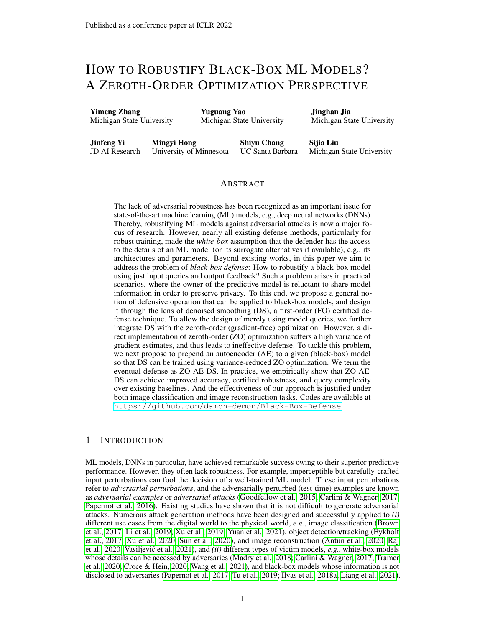- Aleksander Madry, Aleksandar Makelov, Ludwig Schmidt, Dimitris Tsipras, and Adrian Vladu. Towards deep learning models resistant to adversarial attack & R, 2018.
- Xiaojiao Mao, Chunhua Shen, and Yu-Bin Yang. Image restoration using very deep convolutional encoderdecoder networks with symmetric skip connections divances in neural information processing systems 2802–2810, 2016.
- Dongyu Meng and Hao Chen. Magnet: a two-pronged defense against adversarial examplesedulings of the 2017 ACM SIGSAC Conference on Computer and Communications Sempurity 6-147. ACM, 2017.
- Jan Hendrik Metzen, Tim Genewein, Volker Fischer, and Bastian Bischoff. On detecting adversarial perturbations. arXiv preprint arXiv:1702.0426,72017.
- Seong Joon Oh, Bernt Schiele, and Mario Fritz. Towards reverse-engineering black-box neural networks. In Explainable AI: Interpreting, Explaining and Visualizing Deep Learning, 121-144. Springer, 2019.
- Nicolas Papernot, Patrick McDaniel, Somesh Jha, Matt Fredrikson, Z Berkay Celik, and Ananthram Swami. The limitations of deep learning in adversarial settings. Struity and Privacy (EuroS&P), 2016 IEEE European Symposium onpp. 372-387. IEEE, 2016.
- Nicolas Papernot, Patrick McDaniel, Ian Goodfellow, Somesh Jha, Z Berkay Celik, and Ananthram Swami. Practical black-box attacks against machine learning?roteedings of the 2017 ACM on Asia Conference on Computer and Communications Security. 506–519. ACM, 2017.
- Adnan Qayyum, Junaid Qadir, Muhammad Bilal, and Ala Al-Fuqaha. Secure and robust machine learning for healthcare: A survey EEE Reviews in Biomedical Engineering 4:156-180, 2020.
- Aditi Raghunathan, Jacob Steinhardt, and Percy Liang. Certi ed defenses against adversarial examples. In International Conference on Learning Representations 8. URLhttps://openreview.net/ forum?id=Bys4ob-Rb .
- Ankit Raj, Yoram Bresler, and Bo Li. Improving robustness of deep-learning-based image reconstruction. In International Conference on Machine Learning . 7932–7942. PMLR, 2020.
- Hadi Salman, Greg Yang, Jerry Li, Pengchuan Zhang, Huan Zhang, Ilya Razenshteyn, and Sebastien Bubeck. Provably robust deep learning via adversarially trained smoothed classinetis preprint arXiv:1906.04584 2019.
- Hadi Salman, Mingjie Sun, Greg Yang, Ashish Kapoor, and J Zico Kolter. Denoised smoothing: A provable defense for pretrained classi ersleurIPS 2020.
- Hadi Salman, Saachi Jain, Eric Wong, and Aleksander Madry. Certi ed patch robustness via smoothed vision transformersarXiv preprint arXiv:2110.0771, 92021.
- Ali Shafahi, Mahyar Najibi, Mohammad Amin Ghiasi, Zheng Xu, John Dickerson, Christoph Studer, Larry S Davis, Gavin Taylor, and Tom Goldstein. Adversarial training for free Advances in Neural Information Processing Systemsp. 3353-3364, 2019.
- Sanjay M Sisodiya, Christopher D Whelan, Sean N Hatton, Khoa Huynh, Andre Altmann, Mina Ryten, Annamaria Vezzani, Maria Eugenia Caligiuri, Angelo Labate, and Antonio Gambardella. The enigmaepilepsy working group: Mapping disease from large data sure and mapping 2020.
- Robert Stanforth, Alhussein Fawzi, Pushmeet Kohli, et al. Are labels required for improving adversarial robustness?arXiv preprint arXiv:1905.137252019.
- Jiachen Sun, Yulong Cao, Qi Alfred Chen, and Z Morley Mao. Towards robust lidar-based perception in autonomous driving: General black-box adversarial sensor attack and countermeas 20 H USENIXg Security Symposiumpp. 877–894, 2020.
- Florian Tramer, Nicholas Carlini, Wieland Brendel, and Aleksander Madry. On adaptive attacks to adversarial example defenses arXiv preprint arXiv: 2002.0834, 72020.
- Dimitris Tsipras, Shibani Santurkar, Logan Engstrom, Alexander Turner, and Aleksander Madry. Robustness may be at odds with accuracy. International Conference on Learning Representations 9. URL https://openreview.net/forum?id=SyxAb30cY7 .
- Chun-Chen Tu, Paishun Ting, Pin-Yu Chen, Sijia Liu, Huan Zhang, Jinfeng Yi, Cho-Jui Hsieh, and Shin-Ming Cheng. Autozoom: Autoencoder-based zeroth order optimization method for attacking black-box neural networks. InProceedings of the AAAI Conference on Arti cial Intelligen welume 33, pp. 742–749, 2019.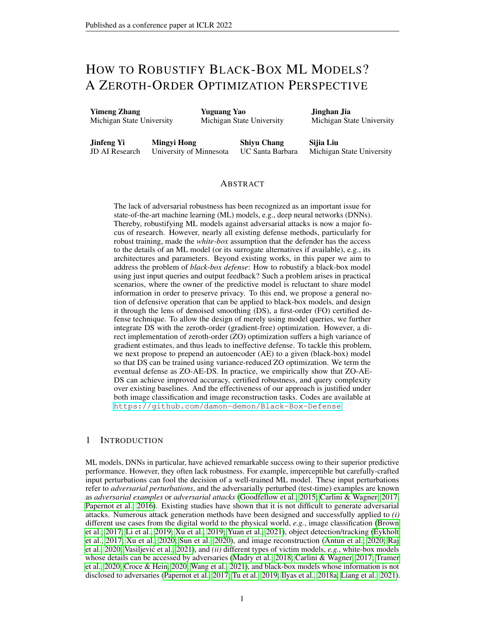- Jelica Vasiljevé, Friedrich Feuerhake, Cédric Wemmert, and Thomas Lampert. Self adversarial attack as an augmentation method for immunohistochemical staining 2021 IEEE 18th International Symposium on Biomedical Imaging (ISBJ)pp. 1939-1943. IEEE, 2021.
- Yixiang Wang, Jiqiang Liu, Xiaolin Chang, Jianhua Wang, and Ricardo J Rodríguez. Di-aa: An interpretable white-box attack for fooling deep neural networks Xiv preprint arXiv:2110.073052021.
- Tsui-Wei Weng, Huan Zhang, Hongge Chen, Zhao Song, Cho-Jui Hsieh, Duane Boning, Inderjit S Dhillon, and Luca Daniel. Towards fast computation of certi ed robustness for relu netwoOl ML, 2018a.
- Tsui-Wei Weng, Huan Zhang, Pin-Yu Chen, Jinfeng Yi, Dong Su, Yupeng Gao, Cho-Jui Hsieh, and Luca Daniel. Evaluating the robustness of neural networks: An extreme value theory apploaded, 2018b.
- Adva Wolf. Making medical image reconstruction adversarially robust, 2019.
- Eric Wong and J Zico Kolter. Provable defenses against adversarial examples via the convex outer adversarial polytope.arXiv preprint arXiv:1711.0085,12017.
- Eric Wong, Frank Schmidt, Jan Hendrik Metzen, and J Zico Kolter. Scaling provable adversarial defenses. In Advances in Neural Information Processing Systems 8400–8409, 2018.
- Eric Wong, Leslie Rice, and J. Zico Kolter. Fast is better than free: Revisiting adversarial training. In 2020.
- Kaidi Xu, Sijia Liu, Pu Zhao, Pin-Yu Chen, Huan Zhang, Quanfu Fan, Deniz Erdogmus, Yanzhi Wang, and Xue Lin. Structured adversarial attack: Towards general implementation and better interpretabil@tkRIr2019.
- Kaidi Xu, Gaoyuan Zhang, S. Liu, Quanfu Fan, Mengshu Sun, Hongge Chen, Pin-Yu Chen, Yanzhi Wang, and Xue Lin. Adversarial T-Shirt! evading person detectors in a physical worldEOCV, 2020.
- Zheng Yuan, Jie Zhang, Yunpei Jia, Chuanqi Tan, Tao Xue, and Shiguang Shan. Meta gradient adversarial attack. In Proceedings of the IEEE/CVF International Conference on Computer Vipion 7748–7757, 2021.
- Dinghuai Zhang, Tianyuan Zhang, Yiping Lu, Zhanxing Zhu, and Bin Dong. You only propagate once: Accelerating adversarial training via maximal principerXiv preprint arXiv:1905.0087,72019a.
- Hongyang Zhang, Yaodong Yu, Jiantao Jiao, Eric P Xing, Laurent El Ghaoui, and Michael I Jordan. Theoretically principled trade-off between robustness and acculary ML, 2019b.
- Kai Zhang, Wangmeng Zuo, Yunjin Chen, Deyu Meng, and Lei Zhang. Beyond a gaussian denoiser: Residual learning of deep cnn for image denoising. Etransactions on image processing  $(7)$ :3142–3155, 2017.
- Shudong Zhang, Haichang Gao, and Qingxun Rao. Defense against adversarial attacks by reconstructing images. IEEE Transactions on Image Processing: 6117-6129, 2021.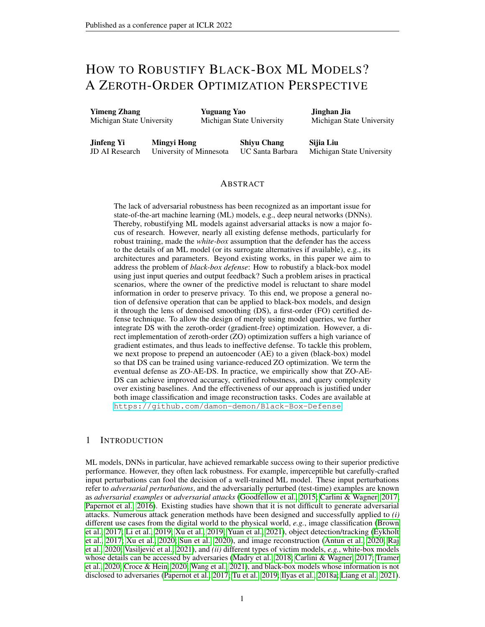# A DERIVATION OF (8)

First, based on (2) and (6), the stability loss corresponding to ZO-AE-DS is given by

$$
\text{Stab} \text{Stab} \text{Stab} \text{Stab} \text{Stab} \text{Stab} \text{Stab} \text{Stab} \text{Stab} \text{Stab} \text{Stab} \text{Stab} \text{Stab} \text{Stab} \text{Stab} \text{Stab} \text{Stab} \text{Stab} \text{Stab} \text{Stab} \text{Stab} \text{Stab} \text{Stab} \text{Stab} \text{Stab} \text{Stab} \text{Stab} \text{Stab} \text{Stab} \text{Stab} \text{Stab} \text{Stab} \text{Stab} \text{Stab} \text{Stab} \text{Stab} \text{Stab} \text{Stab} \text{Stab} \text{Stab} \text{Stab} \text{Stab} \text{Stab} \text{Stab} \text{Stab} \text{Stab} \text{Stab} \text{Stab} \text{Stab} \text{Stab} \text{Stab} \text{Stab} \text{Stab} \text{Stab} \text{Stab} \text{Stab} \text{Stab} \text{Stab} \text{Stab} \text{Stab} \text{Stab} \text{Stab} \text{Stab} \text{Stab} \text{Stab} \text{Stab} \text{Stab} \text{Stab} \text{Stab} \text{Stab} \text{Stab} \text{Stab} \text{Stab} \text{Stab} \text{Stab} \text{Stab} \text{Stab} \text{Stab} \text{Stab} \text{Stab} \text{Stab} \text{Stab} \text{Stab} \text{Stab} \text{Stab} \text{Stab} \text{Stab} \text{Stab} \text{Stab} \text{Stab} \text{Stab} \text{Stab} \text{Stab} \text{Stab} \text{Stab} \text{Stab} \text{Stab} \text{Stab} \text{Stab} \text{Stab} \text{Stab} \text{Stab} \text{Stab} \text{Stab} \text{Stab} \text{Stab} \text{Stab} \text{Stab} \text{Stab} \text{Stab} \text{Stab} \text{Stab} \text{Stab} \text{Stab} \text{Stab} \text{Stab} \text{Stab} \text{Stab} \text{Stab} \text{Stab} \text{Stab} \text{Stab} \text{Stab} \text{Stab} \text{Stab} \text{Stab} \text{S
$$

We then take the derivative  $\delta f_{\text{tab}}( )$  w.r.t. . This yields

r 
$$
^{\circ}
$$
Stab ( ) =  $\frac{dz}{d} \frac{dg(z)}{dz} j_{z} =_{Enc} (D (x + y))}$  ; (10)

where $\frac{dz}{d}$  2 R<sup>d d</sup> and $\frac{dg(z)}{dz}$  2 R<sup>d</sup>.

Sinceg(z) involves the black-box functiofi, we rst compute its ZO gradient estimate following (3) or (4) and obtain

$$
\frac{dg(z)}{dz}j_{z} = \sum_{Enc} (D (x + x)) \qquad f^{2}zg(z)j_{z} = \sum_{Enc} (D (x + x)) \qquad \text{(11)}
$$

Substituting the above into (10), we obtain

$$
2_{\frac{da^{2}Z}{d_{1}Z}}^{2}
$$
\n
$$
r \quad \text{Stab}\left( \ \right) = \frac{dz}{d}a = \oint_{\frac{da^{2}Z}{d_{2}Z}}^{\frac{da^{2}Z}{d_{1}Z}} \frac{Z}{Z} = \frac{da^{2}Z}{d} = r \quad [a^{2} \quad \text{Enc}\left(D \ (x + \ )\right)], \tag{12}
$$

where the last equality holds based on (9). This completes the derivation.

# B COMBINATION OF DIFFERENT DENOISERS AND CLASSIFIERS

Table A1 presents the certi ed accuracies of our proposal using different denoiser models (Wide-DnCnn vs. DnCnn) and image classi er (Vgg-16).

|           |       |          | DnCnn & VGG-16                     |       |          | Wide-DnCnn & VGG-16                |
|-----------|-------|----------|------------------------------------|-------|----------|------------------------------------|
| 2-radiusr | FO-DS | FO-AE-DS | ZO-AE-DS<br>$(CGE, q = d_z = 192)$ | FO-DS | FO-AE-DS | ZO-AE-DS<br>$(CGE, q = d_z = 192)$ |
| 0.00(SA)  | 71.37 | 73.75    | 71.92                              | 66.57 | 75.14    | 72.97                              |
| 0.25      | 51.37 | 54.74    | 54.33                              | 50.1  | 57.45    | 54.92                              |
| 0.50      | 30.21 | 34.6     | 34.39                              | 31.52 | 37.59    | 34.2                               |
| 0.75      | 11.72 | 15.45    | 15.36                              | 13.94 | 17.64    | 15.7                               |

Table A1:CA (certi ed accuracy, %) vs. different -radii for different combinations of denoisers and classi er.

## C ADDITIONAL EXPERIMENTS AND ABLATION STUDIES

In what follows, we will show the ablation study on the choice of AE architectures in Appendix C.1. Afterwards, we will show the performance of FO-AE-DS versus different training schemes in Appendix C.2. Finally, we will show the performance of our proposal on the high-dimension ImageNet images in Appendix C.3.

## C.1 THE PERFORMANCE OFFO-AE-DSWITH DIFFERENTAUTOENCODERS.

Table. A2 presents the certi ed accuracy performance of FO-AE-DS with different autoencoders (AE). As we can see, if AE-96 is used (namely, the encoded dimension is half of AE-192 used in the paper), then we observe a slight performance drop. This is a promising result as we can further reduce the query complexity by choosing a different autoencoder since the use of CGE has to be matched with the encoded dimension.